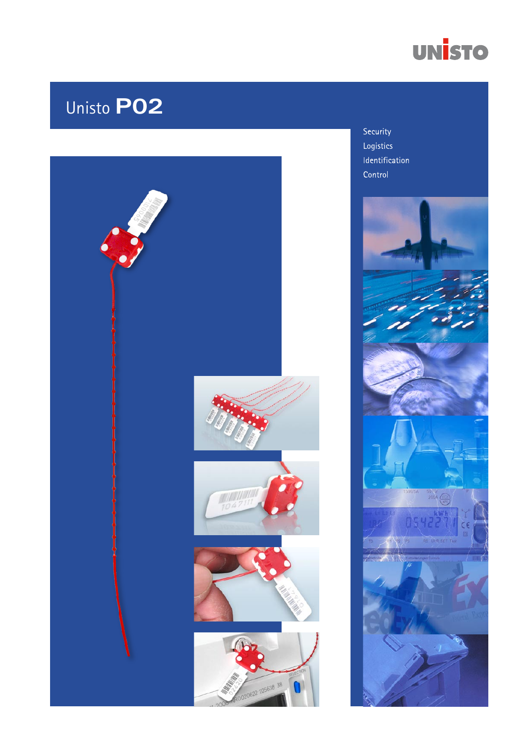

# Unisto PO2



Security Logistics Identification Control